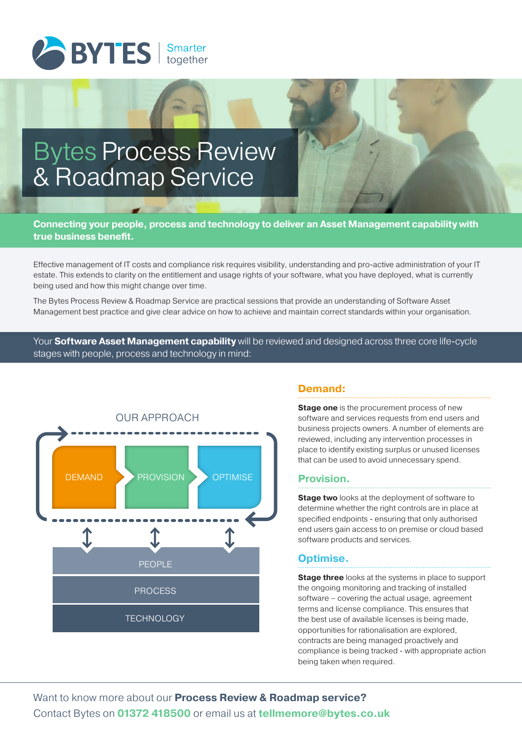

# Bytes Process Review & Roadmap Service

**Connecting your people, process and technology to deliver an Asset Management capability with true business benefit.**

Effective management of IT costs and compliance risk requires visibility, understanding and pro-active administration of your IT estate. This extends to clarity on the entitlement and usage rights of your software, what you have deployed, what is currently being used and how this might change over time.

The Bytes Process Review & Roadmap Service are practical sessions that provide an understanding of Software Asset Management best practice and give clear advice on how to achieve and maintain correct standards within your organisation.

Your **Software Asset Management capability** will be reviewed and designed across three core life-cycle stages with people, process and technology in mind:



## **Demand:**

**Stage one** is the procurement process of new software and services requests from end users and business projects owners. A number of elements are reviewed, including any intervention processes in place to identify existing surplus or unused licenses that can be used to avoid unnecessary spend.

## **Provision.**

**Stage two** looks at the deployment of software to determine whether the right controls are in place at specified endpoints - ensuring that only authorised end users gain access to on premise or cloud based software products and services.

#### **Optimise.**

**Stage three** looks at the systems in place to support the ongoing monitoring and tracking of installed software – covering the actual usage, agreement terms and license compliance. This ensures that the best use of available licenses is being made, opportunities for rationalisation are explored, contracts are being managed proactively and compliance is being tracked - with appropriate action being taken when required.